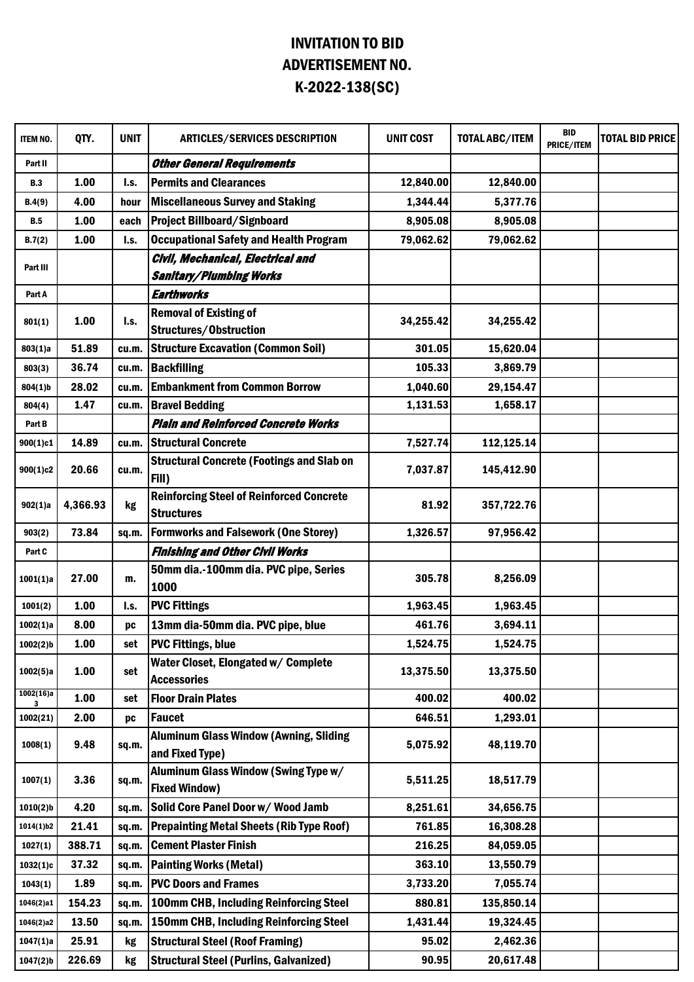## INVITATION TO BID ADVERTISEMENT NO. K-2022-138(SC)

| ITEM NO.               | QTY.     | <b>UNIT</b> | <b>ARTICLES/SERVICES DESCRIPTION</b>                                 | <b>UNIT COST</b> | <b>TOTAL ABC/ITEM</b> | <b>BID</b><br>PRICE/ITEM | <b>TOTAL BID PRICE</b> |
|------------------------|----------|-------------|----------------------------------------------------------------------|------------------|-----------------------|--------------------------|------------------------|
| Part II                |          |             | <b>Other General Requirements</b>                                    |                  |                       |                          |                        |
| <b>B.3</b>             | 1.00     | I.s.        | <b>Permits and Clearances</b>                                        | 12,840.00        | 12,840.00             |                          |                        |
| B.4(9)                 | 4.00     | hour        | <b>Miscellaneous Survey and Staking</b>                              | 1,344.44         | 5,377.76              |                          |                        |
| <b>B.5</b>             | 1.00     | each        | <b>Project Billboard/Signboard</b>                                   | 8,905.08         | 8,905.08              |                          |                        |
| B.7(2)                 | 1.00     | I.s.        | <b>Occupational Safety and Health Program</b>                        | 79,062.62        | 79,062.62             |                          |                        |
|                        |          |             | Civil, Mechanical, Electrical and                                    |                  |                       |                          |                        |
| Part III               |          |             | <b>Sanitary/Plumbing Works</b>                                       |                  |                       |                          |                        |
| Part A                 |          |             | <b>Earthworks</b>                                                    |                  |                       |                          |                        |
|                        | 1.00     | I.S.        | <b>Removal of Existing of</b>                                        | 34,255.42        | 34,255.42             |                          |                        |
| 801(1)                 |          |             | Structures/Obstruction                                               |                  |                       |                          |                        |
| 803(1)a                | 51.89    | cu.m.       | <b>Structure Excavation (Common Soil)</b>                            | 301.05           | 15,620.04             |                          |                        |
| 803(3)                 | 36.74    | cu.m.       | <b>Backfilling</b>                                                   | 105.33           | 3,869.79              |                          |                        |
| $804(1)$ b             | 28.02    | cu.m.       | <b>Embankment from Common Borrow</b>                                 | 1,040.60         | 29,154.47             |                          |                        |
| 804(4)                 | 1.47     | cu.m.       | <b>Bravel Bedding</b>                                                | 1,131.53         | 1,658.17              |                          |                        |
| Part B                 |          |             | <b>Plain and Reinforced Concrete Works</b>                           |                  |                       |                          |                        |
| 900(1)c1               | 14.89    | cu.m.       | <b>Structural Concrete</b>                                           | 7,527.74         | 112,125.14            |                          |                        |
| 900(1)c2               | 20.66    | cu.m.       | <b>Structural Concrete (Footings and Slab on</b><br>Fill)            | 7,037.87         | 145,412.90            |                          |                        |
| 902(1)a                | 4,366.93 | kg          | <b>Reinforcing Steel of Reinforced Concrete</b><br><b>Structures</b> | 81.92            | 357,722.76            |                          |                        |
| 903(2)                 | 73.84    | sq.m.       | <b>Formworks and Falsework (One Storey)</b>                          | 1,326.57         | 97,956.42             |                          |                        |
| Part C                 |          |             | <b>Finishing and Other Civil Works</b>                               |                  |                       |                          |                        |
| 1001(1)a               | 27.00    | m.          | 50mm dia.-100mm dia. PVC pipe, Series<br>1000                        | 305.78           | 8,256.09              |                          |                        |
| 1001(2)                | 1.00     | I.s.        | <b>PVC Fittings</b>                                                  | 1,963.45         | 1,963.45              |                          |                        |
| 1002(1)a               | 8.00     | pc          | 13mm dia-50mm dia. PVC pipe, blue                                    | 461.76           | 3,694.11              |                          |                        |
| $1002(2)$ b            | 1.00     | set         | <b>PVC Fittings, blue</b>                                            | 1,524.75         | 1,524.75              |                          |                        |
| 1002(5)a               | 1.00     | set         | Water Closet, Elongated w/ Complete<br><b>Accessories</b>            | 13,375.50        | 13,375.50             |                          |                        |
| 1002(16)a<br>3         | 1.00     | set         | <b>Floor Drain Plates</b>                                            | 400.02           | 400.02                |                          |                        |
| 1002(21)               | 2.00     | <b>DC</b>   | <b>Faucet</b>                                                        | 646.51           | 1,293.01              |                          |                        |
| 1008(1)                | 9.48     | sq.m.       | <b>Aluminum Glass Window (Awning, Sliding</b><br>and Fixed Type)     | 5,075.92         | 48,119.70             |                          |                        |
| 1007(1)                | 3.36     | sq.m.       | Aluminum Glass Window (Swing Type w/<br><b>Fixed Window)</b>         | 5,511.25         | 18,517.79             |                          |                        |
| $1010(2)$ <sub>b</sub> | 4.20     | sq.m.       | Solid Core Panel Door w/ Wood Jamb                                   | 8,251.61         | 34,656.75             |                          |                        |
| 1014(1) b2             | 21.41    | sq.m.       | <b>Prepainting Metal Sheets (Rib Type Roof)</b>                      | 761.85           | 16,308.28             |                          |                        |
| 1027(1)                | 388.71   | sq.m.       | <b>Cement Plaster Finish</b>                                         | 216.25           | 84,059.05             |                          |                        |
| 1032(1)c               | 37.32    | sq.m.       | <b>Painting Works (Metal)</b>                                        | 363.10           | 13,550.79             |                          |                        |
| 1043(1)                | 1.89     | sq.m.       | <b>PVC Doors and Frames</b>                                          | 3,733.20         | 7,055.74              |                          |                        |
| 1046(2)a1              | 154.23   | sq.m.       | 100mm CHB, Including Reinforcing Steel                               | 880.81           | 135,850.14            |                          |                        |
| 1046(2)a2              | 13.50    | sq.m.       | <b>150mm CHB, Including Reinforcing Steel</b>                        | 1,431.44         | 19,324.45             |                          |                        |
| 1047(1)a               | 25.91    | kg          | <b>Structural Steel (Roof Framing)</b>                               | 95.02            | 2,462.36              |                          |                        |
| $1047(2)$ b            | 226.69   | kg          | <b>Structural Steel (Purlins, Galvanized)</b>                        | 90.95            | 20,617.48             |                          |                        |